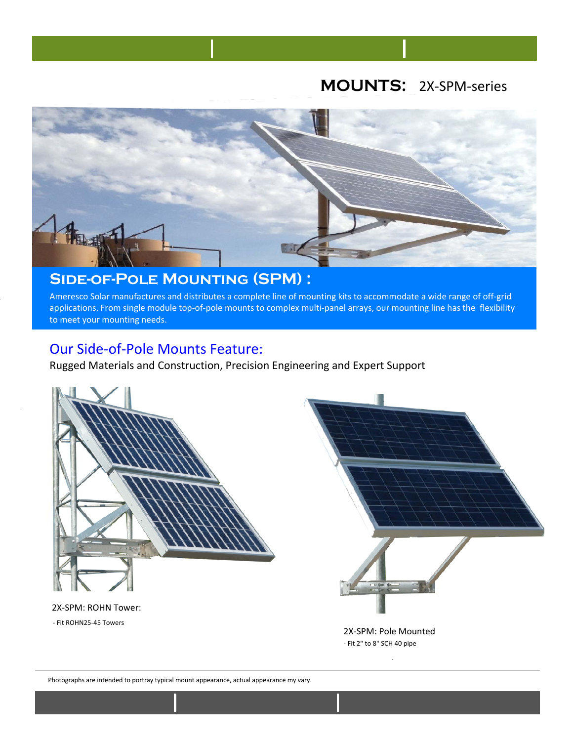# **MOUNTS:** 2X-SPM-series



## **Side-of-Pole Mounting (SPM) :**

Ameresco Solar manufactures and distributes a complete line of mounting kits to accommodate a wide range of off-grid applications. From single module top-of-pole mounts to complex multi-panel arrays, our mounting line has the flexibility to meet your mounting needs.

### Our Side-of-Pole Mounts Feature:

Rugged Materials and Construction, Precision Engineering and Expert Support



### 2X-SPM: ROHN Tower:

- Fit ROHN25-45 Towers



2X-SPM: Pole Mounted - Fit 2" to 8" SCH 40 pipe

Photographs are intended to portray typical mount appearance, actual appearance my vary.